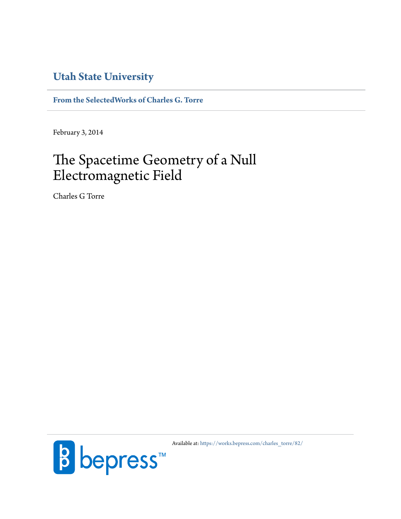## **[Utah State University](http://www.usu.edu)**

**[From the SelectedWorks of Charles G. Torre](https://works.bepress.com/charles_torre/)**

February 3, 2014

# The Spacetime Geometry of a Null Electromagnetic Field

Charles G Torre



Available at: [https://works.bepress.com/charles\\_torre/82/](https://works.bepress.com/charles_torre/82/)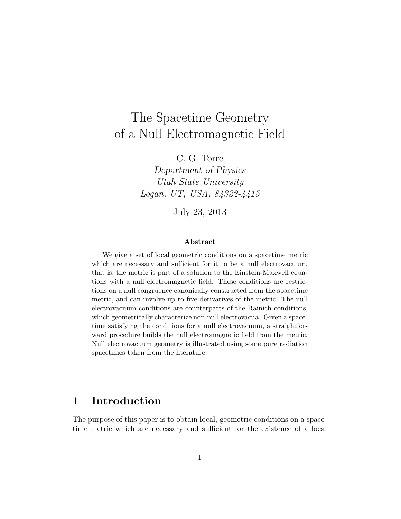# The Spacetime Geometry of a Null Electromagnetic Field

C. G. Torre

Department of Physics Utah State University Logan, UT, USA, 84322-4415

July 23, 2013

#### Abstract

We give a set of local geometric conditions on a spacetime metric which are necessary and sufficient for it to be a null electrovacuum, that is, the metric is part of a solution to the Einstein-Maxwell equations with a null electromagnetic field. These conditions are restrictions on a null congruence canonically constructed from the spacetime metric, and can involve up to five derivatives of the metric. The null electrovacuum conditions are counterparts of the Rainich conditions, which geometrically characterize non-null electrovacua. Given a spacetime satisfying the conditions for a null electrovacuum, a straightforward procedure builds the null electromagnetic field from the metric. Null electrovacuum geometry is illustrated using some pure radiation spacetimes taken from the literature.

## 1 Introduction

The purpose of this paper is to obtain local, geometric conditions on a spacetime metric which are necessary and sufficient for the existence of a local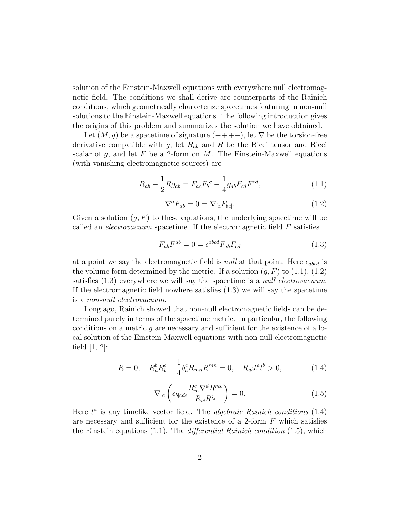solution of the Einstein-Maxwell equations with everywhere null electromagnetic field. The conditions we shall derive are counterparts of the Rainich conditions, which geometrically characterize spacetimes featuring in non-null solutions to the Einstein-Maxwell equations. The following introduction gives the origins of this problem and summarizes the solution we have obtained.

Let  $(M, g)$  be a spacetime of signature  $(-+++)$ , let  $\nabla$  be the torsion-free derivative compatible with g, let  $R_{ab}$  and R be the Ricci tensor and Ricci scalar of g, and let F be a 2-form on  $M$ . The Einstein-Maxwell equations (with vanishing electromagnetic sources) are

$$
R_{ab} - \frac{1}{2} R g_{ab} = F_{ac} F_b{}^c - \frac{1}{4} g_{ab} F_{cd} F^{cd}, \qquad (1.1)
$$

$$
\nabla^a F_{ab} = 0 = \nabla_{[a} F_{bc]}.
$$
\n(1.2)

Given a solution  $(g, F)$  to these equations, the underlying spacetime will be called an *electrovacuum* spacetime. If the electromagnetic field  $F$  satisfies

$$
F_{ab}F^{ab} = 0 = \epsilon^{abcd}F_{ab}F_{cd} \tag{1.3}
$$

at a point we say the electromagnetic field is *null* at that point. Here  $\epsilon_{abcd}$  is the volume form determined by the metric. If a solution  $(g, F)$  to  $(1.1), (1.2)$ satisfies  $(1.3)$  everywhere we will say the spacetime is a *null electrovacuum*. If the electromagnetic field nowhere satisfies (1.3) we will say the spacetime is a non-null electrovacuum.

Long ago, Rainich showed that non-null electromagnetic fields can be determined purely in terms of the spacetime metric. In particular, the following conditions on a metric  $q$  are necessary and sufficient for the existence of a local solution of the Einstein-Maxwell equations with non-null electromagnetic field  $[1, 2]$ :

$$
R = 0, \quad R_a^b R_b^c - \frac{1}{4} \delta_a^c R_{mn} R^{mn} = 0, \quad R_{ab} t^a t^b > 0,
$$
 (1.4)

$$
\nabla_{[a}\left(\epsilon_{b]cde}\frac{R_m^c \nabla^d R^{me}}{R_{ij}R^{ij}}\right) = 0.
$$
\n(1.5)

Here  $t^a$  is any timelike vector field. The *algebraic Rainich conditions*  $(1.4)$ are necessary and sufficient for the existence of a 2-form  $F$  which satisfies the Einstein equations  $(1.1)$ . The *differential Rainich condition*  $(1.5)$ , which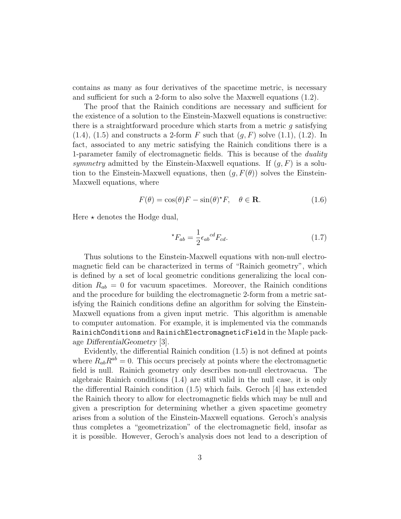contains as many as four derivatives of the spacetime metric, is necessary and sufficient for such a 2-form to also solve the Maxwell equations (1.2).

The proof that the Rainich conditions are necessary and sufficient for the existence of a solution to the Einstein-Maxwell equations is constructive: there is a straightforward procedure which starts from a metric g satisfying  $(1.4)$ ,  $(1.5)$  and constructs a 2-form F such that  $(q, F)$  solve  $(1.1)$ ,  $(1.2)$ . In fact, associated to any metric satisfying the Rainich conditions there is a 1-parameter family of electromagnetic fields. This is because of the *duality* symmetry admitted by the Einstein-Maxwell equations. If  $(g, F)$  is a solution to the Einstein-Maxwell equations, then  $(g, F(\theta))$  solves the Einstein-Maxwell equations, where

$$
F(\theta) = \cos(\theta)F - \sin(\theta)^*F, \quad \theta \in \mathbf{R}.\tag{1.6}
$$

Here  $\star$  denotes the Hodge dual,

$$
{}^{\star}F_{ab} = \frac{1}{2} \epsilon_{ab}{}^{cd} F_{cd}.
$$
 (1.7)

Thus solutions to the Einstein-Maxwell equations with non-null electromagnetic field can be characterized in terms of "Rainich geometry", which is defined by a set of local geometric conditions generalizing the local condition  $R_{ab} = 0$  for vacuum spacetimes. Moreover, the Rainich conditions and the procedure for building the electromagnetic 2-form from a metric satisfying the Rainich conditions define an algorithm for solving the Einstein-Maxwell equations from a given input metric. This algorithm is amenable to computer automation. For example, it is implemented via the commands RainichConditions and RainichElectromagneticField in the Maple package DifferentialGeometry [3].

Evidently, the differential Rainich condition (1.5) is not defined at points where  $R_{ab}R^{ab} = 0$ . This occurs precisely at points where the electromagnetic field is null. Rainich geometry only describes non-null electrovacua. The algebraic Rainich conditions (1.4) are still valid in the null case, it is only the differential Rainich condition (1.5) which fails. Geroch [4] has extended the Rainich theory to allow for electromagnetic fields which may be null and given a prescription for determining whether a given spacetime geometry arises from a solution of the Einstein-Maxwell equations. Geroch's analysis thus completes a "geometrization" of the electromagnetic field, insofar as it is possible. However, Geroch's analysis does not lead to a description of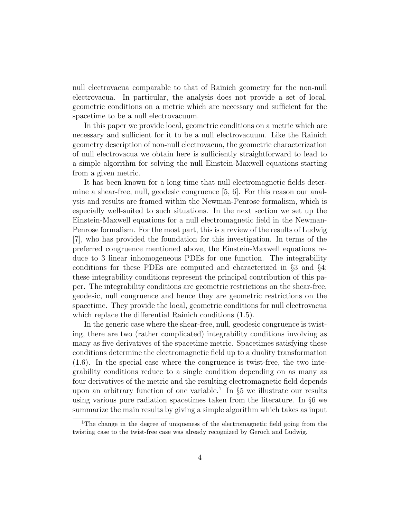null electrovacua comparable to that of Rainich geometry for the non-null electrovacua. In particular, the analysis does not provide a set of local, geometric conditions on a metric which are necessary and sufficient for the spacetime to be a null electrovacuum.

In this paper we provide local, geometric conditions on a metric which are necessary and sufficient for it to be a null electrovacuum. Like the Rainich geometry description of non-null electrovacua, the geometric characterization of null electrovacua we obtain here is sufficiently straightforward to lead to a simple algorithm for solving the null Einstein-Maxwell equations starting from a given metric.

It has been known for a long time that null electromagnetic fields determine a shear-free, null, geodesic congruence [5, 6]. For this reason our analysis and results are framed within the Newman-Penrose formalism, which is especially well-suited to such situations. In the next section we set up the Einstein-Maxwell equations for a null electromagnetic field in the Newman-Penrose formalism. For the most part, this is a review of the results of Ludwig [7], who has provided the foundation for this investigation. In terms of the preferred congruence mentioned above, the Einstein-Maxwell equations reduce to 3 linear inhomogeneous PDEs for one function. The integrability conditions for these PDEs are computed and characterized in §3 and §4; these integrability conditions represent the principal contribution of this paper. The integrability conditions are geometric restrictions on the shear-free, geodesic, null congruence and hence they are geometric restrictions on the spacetime. They provide the local, geometric conditions for null electrovacua which replace the differential Rainich conditions (1.5).

In the generic case where the shear-free, null, geodesic congruence is twisting, there are two (rather complicated) integrability conditions involving as many as five derivatives of the spacetime metric. Spacetimes satisfying these conditions determine the electromagnetic field up to a duality transformation (1.6). In the special case where the congruence is twist-free, the two integrability conditions reduce to a single condition depending on as many as four derivatives of the metric and the resulting electromagnetic field depends upon an arbitrary function of one variable.<sup>1</sup> In  $\S5$  we illustrate our results using various pure radiation spacetimes taken from the literature. In §6 we summarize the main results by giving a simple algorithm which takes as input

<sup>1</sup>The change in the degree of uniqueness of the electromagnetic field going from the twisting case to the twist-free case was already recognized by Geroch and Ludwig.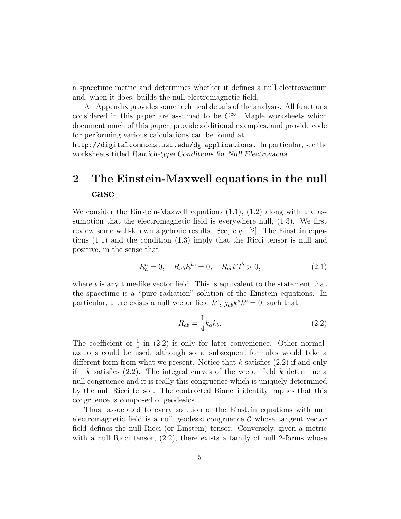a spacetime metric and determines whether it defines a null electrovacuum and, when it does, builds the null electromagnetic field.

An Appendix provides some technical details of the analysis. All functions considered in this paper are assumed to be  $C^{\infty}$ . Maple worksheets which document much of this paper, provide additional examples, and provide code for performing various calculations can be found at

http://digitalcommons.usu.edu/dg applications. In particular, see the worksheets titled Rainich-type Conditions for Null Electrovacua.

## 2 The Einstein-Maxwell equations in the null case

We consider the Einstein-Maxwell equations  $(1.1)$ ,  $(1.2)$  along with the assumption that the electromagnetic field is everywhere null, (1.3). We first review some well-known algebraic results. See,  $e,q, [2]$ . The Einstein equations (1.1) and the condition (1.3) imply that the Ricci tensor is null and positive, in the sense that

$$
R_a^a = 0, \quad R_{ab}R^{bc} = 0, \quad R_{ab}t^at^b > 0,
$$
\n(2.1)

where  $t$  is any time-like vector field. This is equivalent to the statement that the spacetime is a "pure radiation" solution of the Einstein equations. In particular, there exists a null vector field  $k^a$ ,  $g_{ab}k^a k^b = 0$ , such that

$$
R_{ab} = \frac{1}{4}k_a k_b. \tag{2.2}
$$

The coefficient of  $\frac{1}{4}$  in (2.2) is only for later convenience. Other normalizations could be used, although some subsequent formulas would take a different form from what we present. Notice that  $k$  satisfies  $(2.2)$  if and only if  $-k$  satisfies (2.2). The integral curves of the vector field k determine a null congruence and it is really this congruence which is uniquely determined by the null Ricci tensor. The contracted Bianchi identity implies that this congruence is composed of geodesics.

Thus, associated to every solution of the Einstein equations with null electromagnetic field is a null geodesic congruence  $\mathcal C$  whose tangent vector field defines the null Ricci (or Einstein) tensor. Conversely, given a metric with a null Ricci tensor,  $(2.2)$ , there exists a family of null 2-forms whose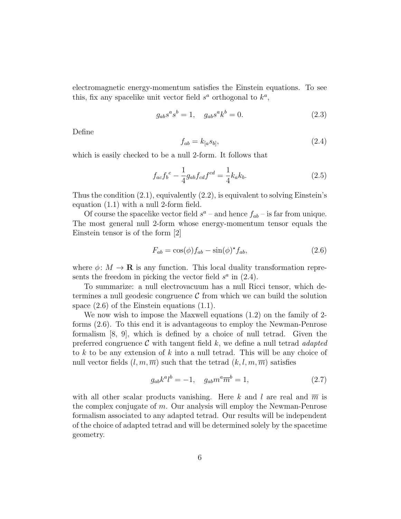electromagnetic energy-momentum satisfies the Einstein equations. To see this, fix any spacelike unit vector field  $s^a$  orthogonal to  $k^a$ ,

$$
g_{ab}s^a s^b = 1, \quad g_{ab}s^a k^b = 0.
$$
 (2.3)

Define

$$
f_{ab} = k_{[a}s_{b]},\tag{2.4}
$$

which is easily checked to be a null 2-form. It follows that

$$
f_{ac}f_b{}^c - \frac{1}{4}g_{ab}f_{cd}f^{cd} = \frac{1}{4}k_a k_b.
$$
 (2.5)

Thus the condition  $(2.1)$ , equivalently  $(2.2)$ , is equivalent to solving Einstein's equation (1.1) with a null 2-form field.

Of course the spacelike vector field  $s^a$  – and hence  $f_{ab}$  – is far from unique. The most general null 2-form whose energy-momentum tensor equals the Einstein tensor is of the form [2]

$$
F_{ab} = \cos(\phi) f_{ab} - \sin(\phi)^* f_{ab}, \qquad (2.6)
$$

where  $\phi: M \to \mathbf{R}$  is any function. This local duality transformation represents the freedom in picking the vector field  $s^a$  in  $(2.4)$ .

To summarize: a null electrovacuum has a null Ricci tensor, which determines a null geodesic congruence  $\mathcal C$  from which we can build the solution space (2.6) of the Einstein equations (1.1).

We now wish to impose the Maxwell equations (1.2) on the family of 2 forms (2.6). To this end it is advantageous to employ the Newman-Penrose formalism [8, 9], which is defined by a choice of null tetrad. Given the preferred congruence  $\mathcal C$  with tangent field k, we define a null tetrad *adapted* to  $k$  to be any extension of  $k$  into a null tetrad. This will be any choice of null vector fields  $(l, m, \overline{m})$  such that the tetrad  $(k, l, m, \overline{m})$  satisfies

$$
g_{ab}k^a l^b = -1, \quad g_{ab}m^a \overline{m}^b = 1,
$$
\n(2.7)

with all other scalar products vanishing. Here k and l are real and  $\overline{m}$  is the complex conjugate of  $m$ . Our analysis will employ the Newman-Penrose formalism associated to any adapted tetrad. Our results will be independent of the choice of adapted tetrad and will be determined solely by the spacetime geometry.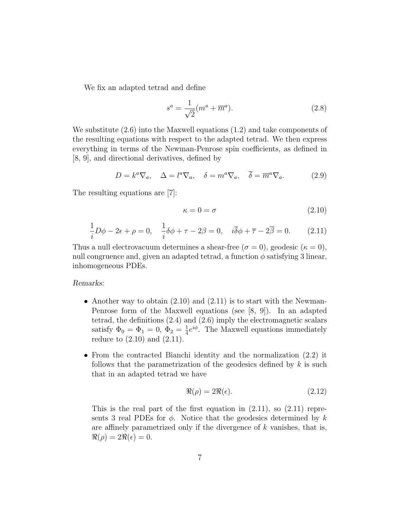We fix an adapted tetrad and define

$$
s^{a} = \frac{1}{\sqrt{2}}(m^{a} + \overline{m}^{a}).
$$
\n(2.8)

We substitute (2.6) into the Maxwell equations (1.2) and take components of the resulting equations with respect to the adapted tetrad. We then express everything in terms of the Newman-Penrose spin coefficients, as defined in [8, 9], and directional derivatives, defined by

$$
D = k^{a} \nabla_{a}, \quad \Delta = l^{a} \nabla_{a}, \quad \delta = m^{a} \nabla_{a}, \quad \overline{\delta} = \overline{m}^{a} \nabla_{a}. \tag{2.9}
$$

The resulting equations are [7]:

$$
\kappa = 0 = \sigma \tag{2.10}
$$

$$
\frac{1}{i}D\phi - 2\epsilon + \rho = 0, \quad \frac{1}{i}\delta\phi + \tau - 2\beta = 0, \quad i\overline{\delta}\phi + \overline{\tau} - 2\overline{\beta} = 0. \tag{2.11}
$$

Thus a null electrovacuum determines a shear-free ( $\sigma = 0$ ), geodesic ( $\kappa = 0$ ), null congruence and, given an adapted tetrad, a function  $\phi$  satisfying 3 linear, inhomogeneous PDEs.

#### Remarks:

- Another way to obtain  $(2.10)$  and  $(2.11)$  is to start with the Newman-Penrose form of the Maxwell equations (see [8, 9]). In an adapted tetrad, the definitions (2.4) and (2.6) imply the electromagnetic scalars satisfy  $\Phi_0 = \Phi_1 = 0, \ \Phi_2 = \frac{1}{4}$  $\frac{1}{4}e^{i\phi}$ . The Maxwell equations immediately reduce to (2.10) and (2.11).
- From the contracted Bianchi identity and the normalization (2.2) it follows that the parametrization of the geodesics defined by  $k$  is such that in an adapted tetrad we have

$$
\Re(\rho) = 2\Re(\epsilon). \tag{2.12}
$$

This is the real part of the first equation in  $(2.11)$ , so  $(2.11)$  represents 3 real PDEs for  $\phi$ . Notice that the geodesics determined by k are affinely parametrized only if the divergence of  $k$  vanishes, that is,  $\Re(\rho) = 2\Re(\epsilon) = 0.$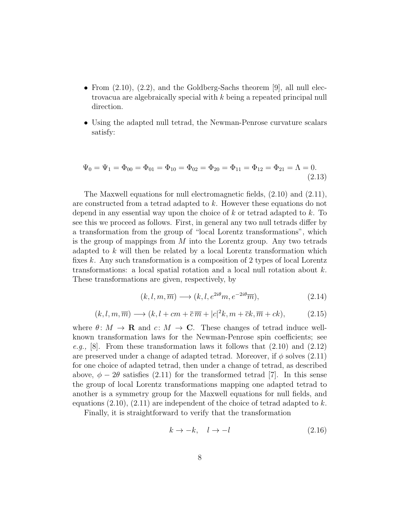- From  $(2.10)$ ,  $(2.2)$ , and the Goldberg-Sachs theorem [9], all null electrovacua are algebraically special with k being a repeated principal null direction.
- Using the adapted null tetrad, the Newman-Penrose curvature scalars satisfy:

$$
\Psi_0 = \Psi_1 = \Phi_{00} = \Phi_{01} = \Phi_{10} = \Phi_{02} = \Phi_{20} = \Phi_{11} = \Phi_{12} = \Phi_{21} = \Lambda = 0.
$$
\n(2.13)

The Maxwell equations for null electromagnetic fields, (2.10) and (2.11), are constructed from a tetrad adapted to k. However these equations do not depend in any essential way upon the choice of  $k$  or tetrad adapted to  $k$ . To see this we proceed as follows. First, in general any two null tetrads differ by a transformation from the group of "local Lorentz transformations", which is the group of mappings from  $M$  into the Lorentz group. Any two tetrads adapted to  $k$  will then be related by a local Lorentz transformation which fixes k. Any such transformation is a composition of 2 types of local Lorentz transformations: a local spatial rotation and a local null rotation about k. These transformations are given, respectively, by

$$
(k, l, m, \overline{m}) \longrightarrow (k, l, e^{2i\theta}m, e^{-2i\theta}\overline{m}), \tag{2.14}
$$

$$
(k, l, m, \overline{m}) \longrightarrow (k, l + cm + \overline{c}\,\overline{m} + |c|^2 k, m + \overline{c}k, \overline{m} + ck),
$$
 (2.15)

where  $\theta: M \to \mathbf{R}$  and  $c: M \to \mathbf{C}$ . These changes of tetrad induce wellknown transformation laws for the Newman-Penrose spin coefficients; see e.g., [8]. From these transformation laws it follows that  $(2.10)$  and  $(2.12)$ are preserved under a change of adapted tetrad. Moreover, if  $\phi$  solves (2.11) for one choice of adapted tetrad, then under a change of tetrad, as described above,  $\phi - 2\theta$  satisfies (2.11) for the transformed tetrad [7]. In this sense the group of local Lorentz transformations mapping one adapted tetrad to another is a symmetry group for the Maxwell equations for null fields, and equations  $(2.10)$ ,  $(2.11)$  are independent of the choice of tetrad adapted to k.

Finally, it is straightforward to verify that the transformation

$$
k \to -k, \quad l \to -l \tag{2.16}
$$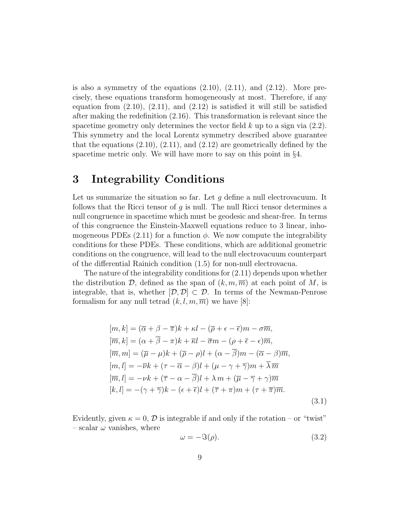is also a symmetry of the equations  $(2.10)$ ,  $(2.11)$ , and  $(2.12)$ . More precisely, these equations transform homogeneously at most. Therefore, if any equation from  $(2.10)$ ,  $(2.11)$ , and  $(2.12)$  is satisfied it will still be satisfied after making the redefinition (2.16). This transformation is relevant since the spacetime geometry only determines the vector field  $k$  up to a sign via  $(2.2)$ . This symmetry and the local Lorentz symmetry described above guarantee that the equations  $(2.10)$ ,  $(2.11)$ , and  $(2.12)$  are geometrically defined by the spacetime metric only. We will have more to say on this point in §4.

## 3 Integrability Conditions

Let us summarize the situation so far. Let  $g$  define a null electrovacuum. It follows that the Ricci tensor of g is null. The null Ricci tensor determines a null congruence in spacetime which must be geodesic and shear-free. In terms of this congruence the Einstein-Maxwell equations reduce to 3 linear, inhomogeneous PDEs  $(2.11)$  for a function  $\phi$ . We now compute the integrability conditions for these PDEs. These conditions, which are additional geometric conditions on the congruence, will lead to the null electrovacuum counterpart of the differential Rainich condition (1.5) for non-null electrovacua.

The nature of the integrability conditions for (2.11) depends upon whether the distribution D, defined as the span of  $(k, m, \overline{m})$  at each point of M, is integrable, that is, whether  $[\mathcal{D}, \mathcal{D}] \subset \mathcal{D}$ . In terms of the Newman-Penrose formalism for any null tetrad  $(k, l, m, \overline{m})$  we have [8]:

$$
[m,k] = (\overline{\alpha} + \beta - \overline{\pi})k + \kappa l - (\overline{\rho} + \epsilon - \overline{\epsilon})m - \sigma \overline{m},
$$
  
\n
$$
[\overline{m},k] = (\alpha + \overline{\beta} - \pi)k + \overline{\kappa}l - \overline{\sigma}m - (\rho + \overline{\epsilon} - \epsilon)\overline{m},
$$
  
\n
$$
[\overline{m},m] = (\overline{\mu} - \mu)k + (\overline{\rho} - \rho)l + (\alpha - \overline{\beta})m - (\overline{\alpha} - \beta)\overline{m},
$$
  
\n
$$
[m,l] = -\overline{\nu}k + (\tau - \overline{\alpha} - \beta)l + (\mu - \gamma + \overline{\gamma})m + \overline{\lambda}\overline{m}
$$
  
\n
$$
[\overline{m},l] = -\nu k + (\overline{\tau} - \alpha - \overline{\beta})l + \lambda m + (\overline{\mu} - \overline{\gamma} + \gamma)\overline{m}
$$
  
\n
$$
[k,l] = -(\gamma + \overline{\gamma})k - (\epsilon + \overline{\epsilon})l + (\overline{\tau} + \pi)m + (\tau + \overline{\pi})\overline{m}.
$$
\n(3.1)

Evidently, given  $\kappa = 0$ ,  $\mathcal{D}$  is integrable if and only if the rotation – or "twist" – scalar  $\omega$  vanishes, where

$$
\omega = -\Im(\rho). \tag{3.2}
$$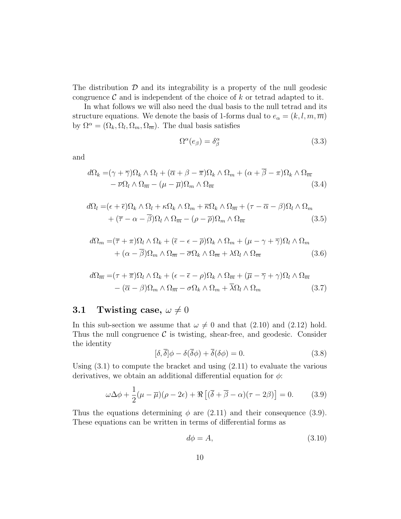The distribution  $\mathcal D$  and its integrability is a property of the null geodesic congruence  $\mathcal C$  and is independent of the choice of k or tetrad adapted to it.

In what follows we will also need the dual basis to the null tetrad and its structure equations. We denote the basis of 1-forms dual to  $e_{\alpha} = (k, l, m, \overline{m})$ by  $\Omega^{\alpha} = (\Omega_k, \Omega_l, \Omega_m, \Omega_{\overline{m}})$ . The dual basis satisfies

$$
\Omega^{\alpha}(e_{\beta}) = \delta^{\alpha}_{\beta} \tag{3.3}
$$

and

$$
d\Omega_k = (\gamma + \overline{\gamma})\Omega_k \wedge \Omega_l + (\overline{\alpha} + \beta - \overline{\pi})\Omega_k \wedge \Omega_m + (\alpha + \overline{\beta} - \pi)\Omega_k \wedge \Omega_{\overline{m}} - \overline{\nu}\Omega_l \wedge \Omega_{\overline{m}} - (\mu - \overline{\mu})\Omega_m \wedge \Omega_{\overline{m}}
$$
(3.4)

$$
d\Omega_l = (\epsilon + \bar{\epsilon})\Omega_k \wedge \Omega_l + \kappa \Omega_k \wedge \Omega_m + \bar{\kappa}\Omega_k \wedge \Omega_{\overline{m}} + (\tau - \bar{\alpha} - \beta)\Omega_l \wedge \Omega_m + (\bar{\tau} - \alpha - \bar{\beta})\Omega_l \wedge \Omega_{\overline{m}} - (\rho - \bar{\rho})\Omega_m \wedge \Omega_{\overline{m}} \qquad (3.5)
$$

$$
d\Omega_m = (\overline{\tau} + \pi)\Omega_l \wedge \Omega_k + (\overline{\epsilon} - \epsilon - \overline{\rho})\Omega_k \wedge \Omega_m + (\mu - \gamma + \overline{\gamma})\Omega_l \wedge \Omega_m
$$

$$
+ (\alpha - \overline{\beta})\Omega_m \wedge \Omega_{\overline{m}} - \overline{\sigma}\Omega_k \wedge \Omega_{\overline{m}} + \lambda \Omega_l \wedge \Omega_{\overline{m}}
$$
(3.6)

$$
d\Omega_{\overline{m}} = (\tau + \overline{\pi})\Omega_l \wedge \Omega_k + (\epsilon - \overline{\epsilon} - \rho)\Omega_k \wedge \Omega_{\overline{m}} + (\overline{\mu} - \overline{\gamma} + \gamma)\Omega_l \wedge \Omega_{\overline{m}} - (\overline{\alpha} - \beta)\Omega_m \wedge \Omega_{\overline{m}} - \sigma\Omega_k \wedge \Omega_m + \overline{\lambda}\Omega_l \wedge \Omega_m
$$
 (3.7)

#### **3.1** Twisting case,  $\omega \neq 0$

In this sub-section we assume that  $\omega \neq 0$  and that (2.10) and (2.12) hold. Thus the null congruence  $\mathcal C$  is twisting, shear-free, and geodesic. Consider the identity

$$
[\delta, \overline{\delta}]\phi - \delta(\overline{\delta}\phi) + \overline{\delta}(\delta\phi) = 0.
$$
 (3.8)

Using  $(3.1)$  to compute the bracket and using  $(2.11)$  to evaluate the various derivatives, we obtain an additional differential equation for  $\phi$ :

$$
\omega \Delta \phi + \frac{1}{2} (\mu - \overline{\mu})(\rho - 2\epsilon) + \Re \left[ (\overline{\delta} + \overline{\beta} - \alpha)(\tau - 2\beta) \right] = 0. \tag{3.9}
$$

Thus the equations determining  $\phi$  are (2.11) and their consequence (3.9). These equations can be written in terms of differential forms as

$$
d\phi = A,\tag{3.10}
$$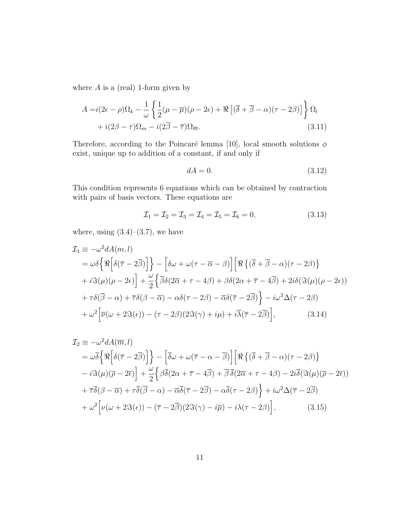where  $A$  is a (real) 1-form given by

$$
A = i(2\epsilon - \rho)\Omega_k - \frac{1}{\omega} \left\{ \frac{1}{2}(\mu - \overline{\mu})(\rho - 2\epsilon) + \Re \left[ (\overline{\delta} + \overline{\beta} - \alpha)(\tau - 2\beta) \right] \right\} \Omega_l + i(2\beta - \tau)\Omega_m - i(2\overline{\beta} - \overline{\tau})\Omega_{\overline{m}}.
$$
(3.11)

Therefore, according to the Poincaré lemma [10], local smooth solutions  $\phi$ exist, unique up to addition of a constant, if and only if

$$
dA = 0.\t\t(3.12)
$$

This condition represents 6 equations which can be obtained by contraction with pairs of basis vectors. These equations are

$$
\mathcal{I}_1 = \mathcal{I}_2 = \mathcal{I}_3 = \mathcal{I}_4 = \mathcal{I}_5 = \mathcal{I}_6 = 0,
$$
\n(3.13)

where, using  $(3.4)$ – $(3.7)$ , we have

$$
\mathcal{I}_1 \equiv -\omega^2 dA(m, l)
$$
\n
$$
= \omega \delta \left\{ \Re \left[ \delta(\overline{\tau} - 2\overline{\beta}) \right] \right\} - \left[ \delta \omega + \omega(\tau - \overline{\alpha} - \beta) \right] \left[ \Re \left\{ (\overline{\delta} + \overline{\beta} - \alpha)(\tau - 2\beta) \right\} \right.
$$
\n
$$
+ i \Im(\mu)(\rho - 2\epsilon) + \frac{\omega}{2} \left\{ \overline{\beta} \delta(2\overline{\alpha} + \tau - 4\beta) + \beta \delta(2\alpha + \overline{\tau} - 4\overline{\beta}) + 2i \delta(\Im(\mu)(\rho - 2\epsilon)) \right.
$$
\n
$$
+ \tau \delta(\overline{\beta} - \alpha) + \overline{\tau} \delta(\beta - \overline{\alpha}) - \alpha \delta(\tau - 2\beta) - \overline{\alpha} \delta(\overline{\tau} - 2\overline{\beta}) \right\} - i\omega^2 \Delta(\tau - 2\beta)
$$
\n
$$
+ \omega^2 \left[ \overline{\nu}(\omega + 2\Im(\epsilon)) - (\tau - 2\beta)(2\Im(\gamma) + i\mu) + i\overline{\lambda}(\overline{\tau} - 2\overline{\beta}) \right], \tag{3.14}
$$

$$
\mathcal{I}_2 \equiv -\omega^2 dA(\overline{m}, l)
$$
  
\n
$$
= \omega \overline{\delta} \Big\{ \Re \Big[ \delta(\overline{\tau} - 2\overline{\beta}) \Big] \Big\} - \Big[ \overline{\delta} \omega + \omega(\overline{\tau} - \alpha - \overline{\beta}) \Big] \Big[ \Re \Big\{ (\overline{\delta} + \overline{\beta} - \alpha)(\tau - 2\beta) \Big\}
$$
  
\n
$$
- i \Im(\mu) (\overline{\rho} - 2\overline{\epsilon}) \Big] + \frac{\omega}{2} \Big\{ \beta \overline{\delta} (2\alpha + \overline{\tau} - 4\overline{\beta}) + \overline{\beta} \overline{\delta} (2\overline{\alpha} + \tau - 4\beta) - 2i \overline{\delta} (\Im(\mu) (\overline{\rho} - 2\overline{\epsilon}))
$$
  
\n
$$
+ \overline{\tau} \overline{\delta} (\beta - \overline{\alpha}) + \tau \overline{\delta} (\overline{\beta} - \alpha) - \overline{\alpha} \overline{\delta} (\overline{\tau} - 2\overline{\beta}) - \alpha \overline{\delta} (\tau - 2\beta) \Big\} + i \omega^2 \Delta (\overline{\tau} - 2\overline{\beta})
$$
  
\n
$$
+ \omega^2 \Big[ \nu (\omega + 2 \Im(\epsilon)) - (\overline{\tau} - 2\overline{\beta}) (2 \Im(\gamma) - i\overline{\mu}) - i \lambda (\tau - 2\beta) \Big], \qquad (3.15)
$$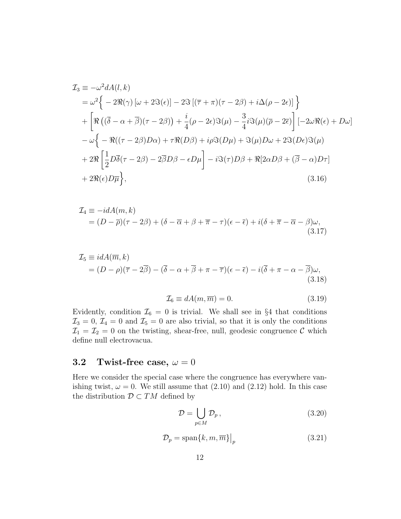$$
\mathcal{I}_3 \equiv -\omega^2 dA(l, k)
$$
  
\n
$$
= \omega^2 \Big\{ -2\Re(\gamma) \left[ \omega + 2\Im(\epsilon) \right] - 2\Im\left[ (\overline{\tau} + \pi)(\tau - 2\beta) + i\Delta(\rho - 2\epsilon) \right] \Big\}
$$
  
\n
$$
+ \Big[ \Re \left( (\overline{\delta} - \alpha + \overline{\beta})(\tau - 2\beta) \right) + \frac{i}{4} (\rho - 2\epsilon) \Im(\mu) - \frac{3}{4} i \Im(\mu) (\overline{\rho} - 2\overline{\epsilon}) \Big] \Big[ -2\omega \Re(\epsilon) + D\omega \Big]
$$
  
\n
$$
- \omega \Big\{ -\Re((\tau - 2\beta)D\alpha) + \tau \Re(D\beta) + i\rho \Im(D\mu) + \Im(\mu)D\omega + 2\Im(D\epsilon) \Im(\mu)
$$
  
\n
$$
+ 2\Re \Big[ \frac{1}{2} D\overline{\delta}(\tau - 2\beta) - 2\overline{\beta}D\beta - \epsilon D\mu \Big] - i \Im(\tau)D\beta + \Re[2\alpha D\beta + (\overline{\beta} - \alpha)D\tau]
$$
  
\n
$$
+ 2\Re(\epsilon)D\overline{\mu} \Big\}, \tag{3.16}
$$

$$
\mathcal{I}_4 \equiv -idA(m,k) \n= (D - \overline{\rho})(\tau - 2\beta) + (\delta - \overline{\alpha} + \beta + \overline{\pi} - \tau)(\epsilon - \overline{\epsilon}) + i(\delta + \overline{\pi} - \overline{\alpha} - \beta)\omega,
$$
\n(3.17)

$$
\mathcal{I}_5 \equiv idA(\overline{m}, k) \n= (D - \rho)(\overline{\tau} - 2\overline{\beta}) - (\overline{\delta} - \alpha + \overline{\beta} + \pi - \overline{\tau})(\epsilon - \overline{\epsilon}) - i(\overline{\delta} + \pi - \alpha - \overline{\beta})\omega,
$$
\n(3.18)

$$
\mathcal{I}_6 \equiv dA(m, \overline{m}) = 0. \tag{3.19}
$$

Evidently, condition  $\mathcal{I}_6 = 0$  is trivial. We shall see in §4 that conditions  $\mathcal{I}_3 = 0, \mathcal{I}_4 = 0$  and  $\mathcal{I}_5 = 0$  are also trivial, so that it is only the conditions  $\mathcal{I}_1 = \mathcal{I}_2 = 0$  on the twisting, shear-free, null, geodesic congruence  $\mathcal C$  which define null electrovacua.

### 3.2 Twist-free case,  $\omega = 0$

Here we consider the special case where the congruence has everywhere vanishing twist,  $\omega = 0$ . We still assume that (2.10) and (2.12) hold. In this case the distribution  $\mathcal{D} \subset TM$  defined by

$$
\mathcal{D} = \bigcup_{p \in M} \mathcal{D}_p, \tag{3.20}
$$

$$
\mathcal{D}_p = \text{span}\{k, m, \overline{m}\}\big|_p \tag{3.21}
$$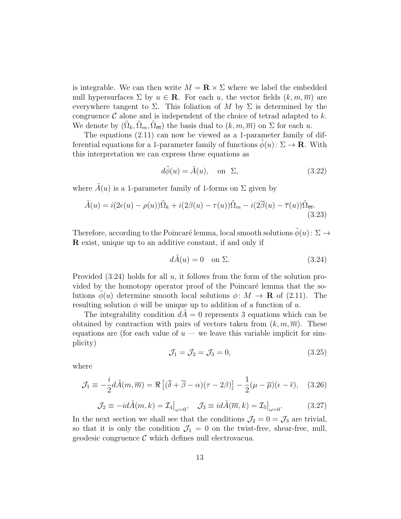is integrable. We can then write  $M = \mathbf{R} \times \Sigma$  where we label the embedded null hypersurfaces  $\Sigma$  by  $u \in \mathbf{R}$ . For each u, the vector fields  $(k, m, \overline{m})$  are everywhere tangent to  $\Sigma$ . This foliation of M by  $\Sigma$  is determined by the congruence  $\mathcal C$  alone and is independent of the choice of tetrad adapted to k. We denote by  $(\tilde{\Omega}_k, \tilde{\Omega}_m, \tilde{\Omega}_m)$  the basis dual to  $(k, m, \overline{m})$  on  $\Sigma$  for each u.

The equations (2.11) can now be viewed as a 1-parameter family of differential equations for a 1-parameter family of functions  $\phi(u): \Sigma \to \mathbf{R}$ . With this interpretation we can express these equations as

$$
d\tilde{\phi}(u) = \tilde{A}(u), \quad \text{on } \Sigma,
$$
\n(3.22)

where  $\tilde{A}(u)$  is a 1-parameter family of 1-forms on  $\Sigma$  given by

$$
\tilde{A}(u) = i(2\epsilon(u) - \rho(u))\tilde{\Omega}_k + i(2\beta(u) - \tau(u))\tilde{\Omega}_m - i(2\overline{\beta}(u) - \overline{\tau}(u))\tilde{\Omega}_{\overline{m}}.
$$
\n(3.23)

Therefore, according to the Poincaré lemma, local smooth solutions  $\phi(u): \Sigma \rightarrow$ R exist, unique up to an additive constant, if and only if

$$
d\tilde{A}(u) = 0 \quad \text{on } \Sigma. \tag{3.24}
$$

Provided  $(3.24)$  holds for all  $u$ , it follows from the form of the solution provided by the homotopy operator proof of the Poincaré lemma that the solutions  $\phi(u)$  determine smooth local solutions  $\phi: M \to \mathbf{R}$  of (2.11). The resulting solution  $\phi$  will be unique up to addition of a function of u.

The integrability condition  $dA = 0$  represents 3 equations which can be obtained by contraction with pairs of vectors taken from  $(k, m, \overline{m})$ . These equations are (for each value of  $u$  — we leave this variable implicit for simplicity)

$$
\mathcal{J}_1 = \mathcal{J}_2 = \mathcal{J}_3 = 0,\tag{3.25}
$$

where

$$
\mathcal{J}_1 \equiv -\frac{i}{2}d\tilde{A}(m,\overline{m}) = \Re\left[ (\overline{\delta} + \overline{\beta} - \alpha)(\tau - 2\beta) \right] - \frac{1}{2}(\mu - \overline{\mu})(\epsilon - \overline{\epsilon}), \quad (3.26)
$$

$$
\mathcal{J}_2 \equiv -id\tilde{A}(m,k) = \mathcal{I}_4\big|_{\omega=0}, \quad \mathcal{J}_3 \equiv id\tilde{A}(\overline{m},k) = \mathcal{I}_5\big|_{\omega=0}.
$$
 (3.27)

In the next section we shall see that the conditions  $\mathcal{J}_2 = 0 = \mathcal{J}_3$  are trivial, so that it is only the condition  $\mathcal{J}_1 = 0$  on the twist-free, shear-free, null, geodesic congruence  $\mathcal C$  which defines null electrovacua.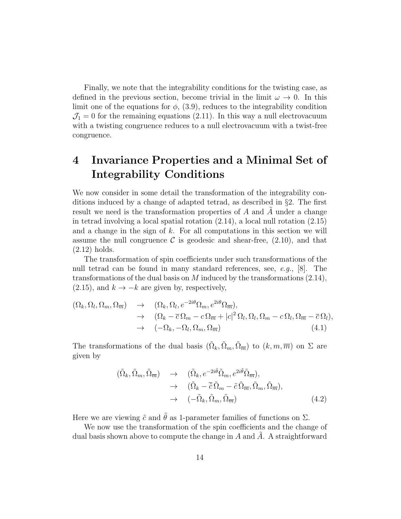Finally, we note that the integrability conditions for the twisting case, as defined in the previous section, become trivial in the limit  $\omega \to 0$ . In this limit one of the equations for  $\phi$ , (3.9), reduces to the integrability condition  $\mathcal{J}_1 = 0$  for the remaining equations (2.11). In this way a null electrovacuum with a twisting congruence reduces to a null electrovacuum with a twist-free congruence.

## 4 Invariance Properties and a Minimal Set of Integrability Conditions

We now consider in some detail the transformation of the integrability conditions induced by a change of adapted tetrad, as described in §2. The first result we need is the transformation properties of  $A$  and  $A$  under a change in tetrad involving a local spatial rotation (2.14), a local null rotation (2.15) and a change in the sign of  $k$ . For all computations in this section we will assume the null congruence C is geodesic and shear-free,  $(2.10)$ , and that (2.12) holds.

The transformation of spin coefficients under such transformations of the null tetrad can be found in many standard references, see, e.g., [8]. The transformations of the dual basis on M induced by the transformations  $(2.14)$ ,  $(2.15)$ , and  $k \rightarrow -k$  are given by, respectively,

$$
(\Omega_k, \Omega_l, \Omega_m, \Omega_{\overline{m}}) \rightarrow (\Omega_k, \Omega_l, e^{-2i\theta} \Omega_m, e^{2i\theta} \Omega_{\overline{m}}),
$$
  
\n
$$
\rightarrow (\Omega_k - \overline{c} \Omega_m - c \Omega_{\overline{m}} + |c|^2 \Omega_l, \Omega_l, \Omega_m - c \Omega_l, \Omega_{\overline{m}} - \overline{c} \Omega_l),
$$
  
\n
$$
\rightarrow (-\Omega_k, -\Omega_l, \Omega_m, \Omega_{\overline{m}})
$$
(4.1)

The transformations of the dual basis  $(\tilde{\Omega}_k, \tilde{\Omega}_m, \tilde{\Omega}_m)$  to  $(k, m, \overline{m})$  on  $\Sigma$  are given by

$$
(\tilde{\Omega}_k, \tilde{\Omega}_m, \tilde{\Omega}_{\overline{m}}) \rightarrow (\tilde{\Omega}_k, e^{-2i\tilde{\theta}} \tilde{\Omega}_m, e^{2i\tilde{\theta}} \tilde{\Omega}_{\overline{m}}),
$$
  
\n
$$
\rightarrow (\tilde{\Omega}_k - \overline{\tilde{c}} \tilde{\Omega}_m - \tilde{c} \tilde{\Omega}_{\overline{m}}, \tilde{\Omega}_m, \tilde{\Omega}_{\overline{m}}),
$$
  
\n
$$
\rightarrow (-\tilde{\Omega}_k, \tilde{\Omega}_m, \tilde{\Omega}_{\overline{m}}) \qquad (4.2)
$$

Here we are viewing  $\tilde{c}$  and  $\tilde{\theta}$  as 1-parameter families of functions on  $\Sigma$ .

We now use the transformation of the spin coefficients and the change of dual basis shown above to compute the change in  $A$  and  $A$ . A straightforward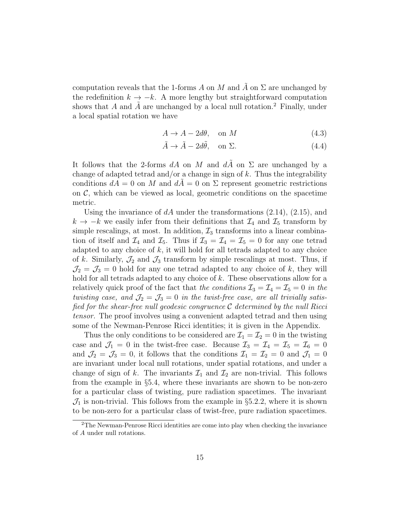computation reveals that the 1-forms A on M and A on  $\Sigma$  are unchanged by the redefinition  $k \to -k$ . A more lengthy but straightforward computation shows that A and  $\ddot{A}$  are unchanged by a local null rotation.<sup>2</sup> Finally, under a local spatial rotation we have

$$
A \to A - 2d\theta, \quad \text{on } M \tag{4.3}
$$

$$
\tilde{A} \to \tilde{A} - 2d\tilde{\theta}, \quad \text{on } \Sigma.
$$
 (4.4)

It follows that the 2-forms dA on M and dA on  $\Sigma$  are unchanged by a change of adapted tetrad and/or a change in sign of  $k$ . Thus the integrability conditions  $dA = 0$  on M and  $dA = 0$  on  $\Sigma$  represent geometric restrictions on  $\mathcal{C}$ , which can be viewed as local, geometric conditions on the spacetime metric.

Using the invariance of  $dA$  under the transformations  $(2.14)$ ,  $(2.15)$ , and  $k \to -k$  we easily infer from their definitions that  $\mathcal{I}_4$  and  $\mathcal{I}_5$  transform by simple rescalings, at most. In addition,  $\mathcal{I}_3$  transforms into a linear combination of itself and  $\mathcal{I}_4$  and  $\mathcal{I}_5$ . Thus if  $\mathcal{I}_3 = \mathcal{I}_4 = \mathcal{I}_5 = 0$  for any one tetrad adapted to any choice of  $k$ , it will hold for all tetrads adapted to any choice of k. Similarly,  $\mathcal{J}_2$  and  $\mathcal{J}_3$  transform by simple rescalings at most. Thus, if  $\mathcal{J}_2 = \mathcal{J}_3 = 0$  hold for any one tetrad adapted to any choice of k, they will hold for all tetrads adapted to any choice of k. These observations allow for a relatively quick proof of the fact that the conditions  $\mathcal{I}_3 = \mathcal{I}_4 = \mathcal{I}_5 = 0$  in the twisting case, and  $\mathcal{J}_2 = \mathcal{J}_3 = 0$  in the twist-free case, are all trivially satisfied for the shear-free null geodesic congruence  $\mathcal C$  determined by the null Ricci tensor. The proof involves using a convenient adapted tetrad and then using some of the Newman-Penrose Ricci identities; it is given in the Appendix.

Thus the only conditions to be considered are  $\mathcal{I}_1 = \mathcal{I}_2 = 0$  in the twisting case and  $\mathcal{J}_1 = 0$  in the twist-free case. Because  $\mathcal{I}_3 = \mathcal{I}_4 = \mathcal{I}_5 = \mathcal{I}_6 = 0$ and  $\mathcal{J}_2 = \mathcal{J}_3 = 0$ , it follows that the conditions  $\mathcal{I}_1 = \mathcal{I}_2 = 0$  and  $\mathcal{J}_1 = 0$ are invariant under local null rotations, under spatial rotations, and under a change of sign of k. The invariants  $\mathcal{I}_1$  and  $\mathcal{I}_2$  are non-trivial. This follows from the example in §5.4, where these invariants are shown to be non-zero for a particular class of twisting, pure radiation spacetimes. The invariant  $\mathcal{J}_1$  is non-trivial. This follows from the example in §5.2.2, where it is shown to be non-zero for a particular class of twist-free, pure radiation spacetimes.

<sup>2</sup>The Newman-Penrose Ricci identities are come into play when checking the invariance of A under null rotations.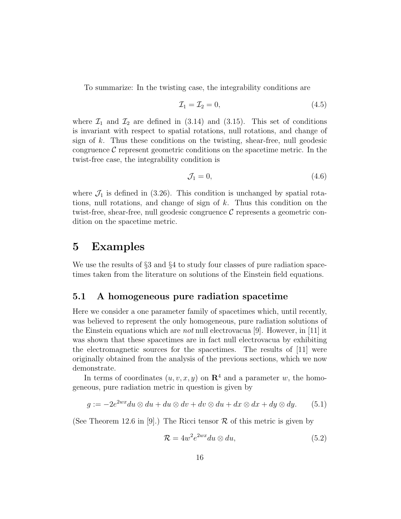To summarize: In the twisting case, the integrability conditions are

$$
\mathcal{I}_1 = \mathcal{I}_2 = 0,\tag{4.5}
$$

where  $\mathcal{I}_1$  and  $\mathcal{I}_2$  are defined in (3.14) and (3.15). This set of conditions is invariant with respect to spatial rotations, null rotations, and change of sign of  $k$ . Thus these conditions on the twisting, shear-free, null geodesic congruence  $\mathcal C$  represent geometric conditions on the spacetime metric. In the twist-free case, the integrability condition is

$$
\mathcal{J}_1 = 0,\tag{4.6}
$$

where  $\mathcal{J}_1$  is defined in (3.26). This condition is unchanged by spatial rotations, null rotations, and change of sign of k. Thus this condition on the twist-free, shear-free, null geodesic congruence  $\mathcal C$  represents a geometric condition on the spacetime metric.

### 5 Examples

We use the results of  $\S 3$  and  $\S 4$  to study four classes of pure radiation spacetimes taken from the literature on solutions of the Einstein field equations.

#### 5.1 A homogeneous pure radiation spacetime

Here we consider a one parameter family of spacetimes which, until recently, was believed to represent the only homogeneous, pure radiation solutions of the Einstein equations which are *not* null electrovacua [9]. However, in [11] it was shown that these spacetimes are in fact null electrovacua by exhibiting the electromagnetic sources for the spacetimes. The results of [11] were originally obtained from the analysis of the previous sections, which we now demonstrate.

In terms of coordinates  $(u, v, x, y)$  on  $\mathbb{R}^4$  and a parameter w, the homogeneous, pure radiation metric in question is given by

$$
g := -2e^{2wx}du \otimes du + du \otimes dv + dv \otimes du + dx \otimes dx + dy \otimes dy. \qquad (5.1)
$$

(See Theorem 12.6 in [9].) The Ricci tensor  $\mathcal R$  of this metric is given by

$$
\mathcal{R} = 4w^2 e^{2wx} du \otimes du,\tag{5.2}
$$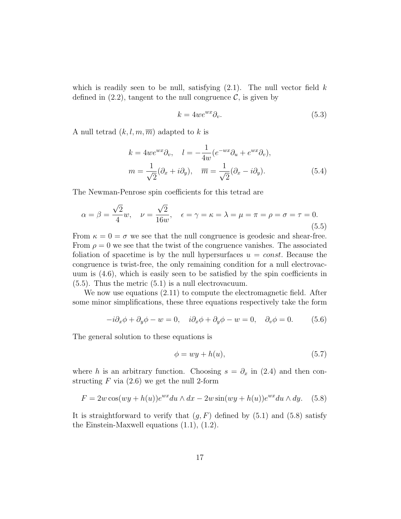which is readily seen to be null, satisfying  $(2.1)$ . The null vector field k defined in  $(2.2)$ , tangent to the null congruence C, is given by

$$
k = 4we^{wx}\partial_v.
$$
\n<sup>(5.3)</sup>

A null tetrad  $(k, l, m, \overline{m})$  adapted to k is

$$
k = 4we^{wx}\partial_v, \quad l = -\frac{1}{4w}(e^{-wx}\partial_u + e^{wx}\partial_v),
$$

$$
m = \frac{1}{\sqrt{2}}(\partial_x + i\partial_y), \quad \overline{m} = \frac{1}{\sqrt{2}}(\partial_x - i\partial_y).
$$
(5.4)

The Newman-Penrose spin coefficients for this tetrad are

$$
\alpha = \beta = \frac{\sqrt{2}}{4}w, \quad \nu = \frac{\sqrt{2}}{16w}, \quad \epsilon = \gamma = \kappa = \lambda = \mu = \pi = \rho = \sigma = \tau = 0. \tag{5.5}
$$

From  $\kappa = 0 = \sigma$  we see that the null congruence is geodesic and shear-free. From  $\rho = 0$  we see that the twist of the congruence vanishes. The associated foliation of spacetime is by the null hypersurfaces  $u = const.$  Because the congruence is twist-free, the only remaining condition for a null electrovacuum is (4.6), which is easily seen to be satisfied by the spin coefficients in (5.5). Thus the metric (5.1) is a null electrovacuum.

We now use equations (2.11) to compute the electromagnetic field. After some minor simplifications, these three equations respectively take the form

$$
-i\partial_x \phi + \partial_y \phi - w = 0, \quad i\partial_x \phi + \partial_y \phi - w = 0, \quad \partial_v \phi = 0.
$$
 (5.6)

The general solution to these equations is

$$
\phi = wy + h(u),\tag{5.7}
$$

where h is an arbitrary function. Choosing  $s = \partial_x$  in (2.4) and then constructing  $F$  via  $(2.6)$  we get the null 2-form

$$
F = 2w\cos(wy + h(u))e^{wx}du \wedge dx - 2w\sin(wy + h(u))e^{wx}du \wedge dy. \quad (5.8)
$$

It is straightforward to verify that  $(g, F)$  defined by  $(5.1)$  and  $(5.8)$  satisfy the Einstein-Maxwell equations (1.1), (1.2).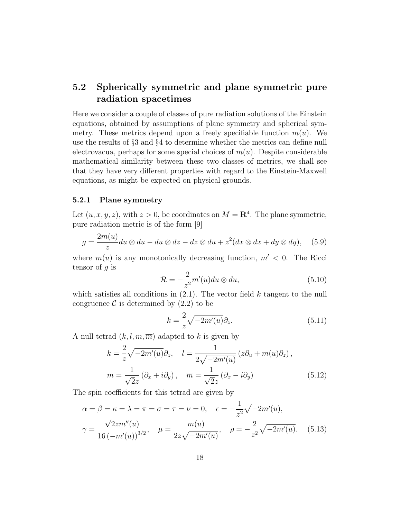### 5.2 Spherically symmetric and plane symmetric pure radiation spacetimes

Here we consider a couple of classes of pure radiation solutions of the Einstein equations, obtained by assumptions of plane symmetry and spherical symmetry. These metrics depend upon a freely specifiable function  $m(u)$ . We use the results of §3 and §4 to determine whether the metrics can define null electrovacua, perhaps for some special choices of  $m(u)$ . Despite considerable mathematical similarity between these two classes of metrics, we shall see that they have very different properties with regard to the Einstein-Maxwell equations, as might be expected on physical grounds.

#### 5.2.1 Plane symmetry

Let  $(u, x, y, z)$ , with  $z > 0$ , be coordinates on  $M = \mathbb{R}^4$ . The plane symmetric, pure radiation metric is of the form [9]

$$
g = \frac{2m(u)}{z}du \otimes du - du \otimes dz - dz \otimes du + z^2(dx \otimes dx + dy \otimes dy), \quad (5.9)
$$

where  $m(u)$  is any monotonically decreasing function,  $m' < 0$ . The Ricci tensor of  $q$  is

$$
\mathcal{R} = -\frac{2}{z^2} m'(u) du \otimes du,
$$
\n(5.10)

which satisfies all conditions in  $(2.1)$ . The vector field k tangent to the null congruence  $\mathcal C$  is determined by  $(2.2)$  to be

$$
k = \frac{2}{z}\sqrt{-2m'(u)}\partial_z.
$$
 (5.11)

A null tetrad  $(k, l, m, \overline{m})$  adapted to k is given by

$$
k = \frac{2}{z} \sqrt{-2m'(u)} \partial_z, \quad l = \frac{1}{2\sqrt{-2m'(u)}} \left( z \partial_u + m(u) \partial_z \right),
$$

$$
m = \frac{1}{\sqrt{2}z} \left( \partial_x + i \partial_y \right), \quad \overline{m} = \frac{1}{\sqrt{2}z} \left( \partial_x - i \partial_y \right) \tag{5.12}
$$

The spin coefficients for this tetrad are given by

$$
\alpha = \beta = \kappa = \lambda = \pi = \sigma = \tau = \nu = 0, \quad \epsilon = -\frac{1}{z^2} \sqrt{-2m'(u)},
$$
  

$$
\gamma = \frac{\sqrt{2}z m''(u)}{16\left(-m'(u)\right)^{3/2}}, \quad \mu = \frac{m(u)}{2z\sqrt{-2m'(u)}}, \quad \rho = -\frac{2}{z^2} \sqrt{-2m'(u)}. \quad (5.13)
$$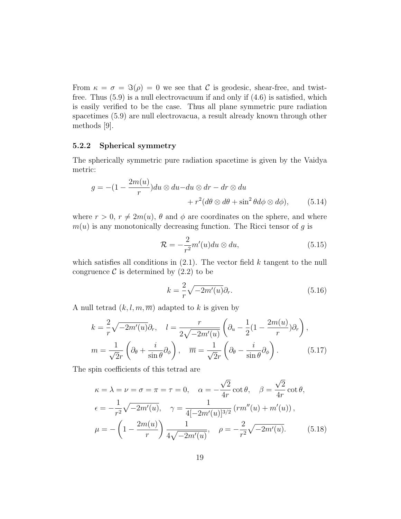From  $\kappa = \sigma = \Im(\rho) = 0$  we see that C is geodesic, shear-free, and twistfree. Thus (5.9) is a null electrovacuum if and only if (4.6) is satisfied, which is easily verified to be the case. Thus all plane symmetric pure radiation spacetimes (5.9) are null electrovacua, a result already known through other methods [9].

#### 5.2.2 Spherical symmetry

The spherically symmetric pure radiation spacetime is given by the Vaidya metric:

$$
g = -(1 - \frac{2m(u)}{r})du \otimes du - du \otimes dr - dr \otimes du
$$

$$
+ r^2(d\theta \otimes d\theta + \sin^2 \theta d\phi \otimes d\phi), \qquad (5.14)
$$

where  $r > 0$ ,  $r \neq 2m(u)$ ,  $\theta$  and  $\phi$  are coordinates on the sphere, and where  $m(u)$  is any monotonically decreasing function. The Ricci tensor of g is

$$
\mathcal{R} = -\frac{2}{r^2} m'(u) du \otimes du,\tag{5.15}
$$

which satisfies all conditions in  $(2.1)$ . The vector field k tangent to the null congruence  $\mathcal C$  is determined by  $(2.2)$  to be

$$
k = \frac{2}{r}\sqrt{-2m'(u)}\partial_r.
$$
 (5.16)

A null tetrad  $(k, l, m, \overline{m})$  adapted to k is given by

$$
k = \frac{2}{r} \sqrt{-2m'(u)} \partial_r, \quad l = \frac{r}{2\sqrt{-2m'(u)}} \left( \partial_u - \frac{1}{2} (1 - \frac{2m(u)}{r}) \partial_r \right),
$$

$$
m = \frac{1}{\sqrt{2}r} \left( \partial_\theta + \frac{i}{\sin \theta} \partial_\phi \right), \quad \overline{m} = \frac{1}{\sqrt{2}r} \left( \partial_\theta - \frac{i}{\sin \theta} \partial_\phi \right).
$$
(5.17)

The spin coefficients of this tetrad are

$$
\kappa = \lambda = \nu = \sigma = \pi = \tau = 0, \quad \alpha = -\frac{\sqrt{2}}{4r} \cot \theta, \quad \beta = \frac{\sqrt{2}}{4r} \cot \theta,
$$
  
\n
$$
\epsilon = -\frac{1}{r^2} \sqrt{-2m'(u)}, \quad \gamma = \frac{1}{4[-2m'(u)]^{3/2}} (rm''(u) + m'(u)),
$$
  
\n
$$
\mu = -\left(1 - \frac{2m(u)}{r}\right) \frac{1}{4\sqrt{-2m'(u)}}, \quad \rho = -\frac{2}{r^2} \sqrt{-2m'(u)}.
$$
(5.18)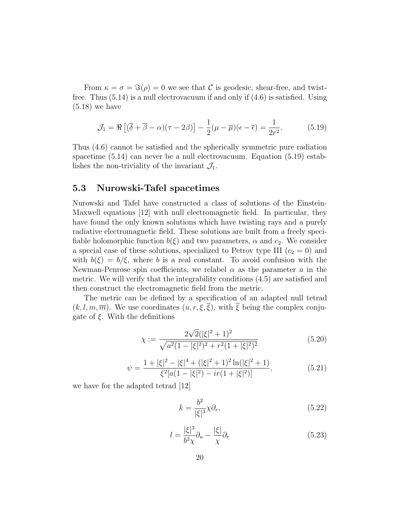From  $\kappa = \sigma = \Im(\rho) = 0$  we see that C is geodesic, shear-free, and twistfree. Thus (5.14) is a null electrovacuum if and only if (4.6) is satisfied. Using (5.18) we have

$$
\mathcal{J}_1 = \Re \left[ (\overline{\delta} + \overline{\beta} - \alpha)(\tau - 2\beta) \right] - \frac{1}{2} (\mu - \overline{\mu})(\epsilon - \overline{\epsilon}) = \frac{1}{2r^2}.
$$
 (5.19)

Thus (4.6) cannot be satisfied and the spherically symmetric pure radiation spacetime (5.14) can never be a null electrovacuum. Equation (5.19) establishes the non-triviality of the invariant  $\mathcal{J}_1$ .

#### 5.3 Nurowski-Tafel spacetimes

Nurowski and Tafel have constructed a class of solutions of the Einstein-Maxwell equations [12] with null electromagnetic field. In particular, they have found the only known solutions which have twisting rays and a purely radiative electromagnetic field. These solutions are built from a freely specifiable holomorphic function  $b(\xi)$  and two parameters,  $\alpha$  and  $c_2$ . We consider a special case of these solutions, specialized to Petrov type III  $(c_2 = 0)$  and with  $b(\xi) = b/\xi$ , where b is a real constant. To avoid confusion with the Newman-Penrose spin coefficients, we relabel  $\alpha$  as the parameter  $\alpha$  in the metric. We will verify that the integrability conditions (4.5) are satisfied and then construct the electromagnetic field from the metric.

The metric can be defined by a specification of an adapted null tetrad  $(k, l, m, \overline{m})$ . We use coordinates  $(u, r, \xi, \overline{\xi})$ , with  $\overline{\xi}$  being the complex conjugate of  $\xi$ . With the definitions

$$
\chi := \frac{2\sqrt{2}(|\xi|^2 + 1)^2}{\sqrt{a^2(1 - |\xi|^2)^2 + r^2(1 + |\xi|^2)^2}}
$$
(5.20)

$$
\psi = \frac{1 + |\xi|^2 - |\xi|^4 + (|\xi|^2 + 1)^2 \ln(|\xi|^2 + 1)}{\xi^2 [a(1 - |\xi|^2) - ir(1 + |\xi|^2)]},\tag{5.21}
$$

we have for the adapted tetrad [12]

$$
k = \frac{b^2}{|\xi|^3} \chi \partial_r,\tag{5.22}
$$

$$
l = \frac{|\xi|^3}{b^2 \chi} \partial_u - \frac{|\xi|}{\chi} \partial_r \tag{5.23}
$$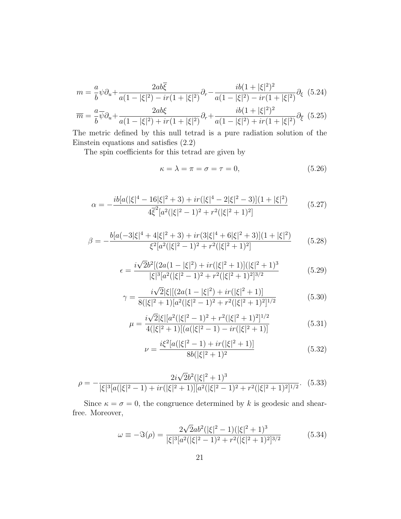$$
m = \frac{a}{b}\psi\partial_{u} + \frac{2ab\overline{\xi}}{a(1-|\xi|^{2})-ir(1+|\xi|^{2})}\partial_{r} - \frac{ib(1+|\xi|^{2})^{2}}{a(1-|\xi|^{2})-ir(1+|\xi|^{2})}\partial_{\xi}
$$
(5.24)  

$$
\overline{m} = \frac{a}{b}\overline{\psi}\partial_{u} + \frac{2ab\xi}{a(1-|\xi|^{2})+ir(1+|\xi|^{2})}\partial_{r} + \frac{ib(1+|\xi|^{2})^{2}}{a(1-|\xi|^{2})+ir(1+|\xi|^{2})}\partial_{\overline{\xi}}
$$
(5.25)

The metric defined by this null tetrad is a pure radiation solution of the Einstein equations and satisfies (2.2)

The spin coefficients for this tetrad are given by

$$
\kappa = \lambda = \pi = \sigma = \tau = 0,\tag{5.26}
$$

$$
\alpha = -\frac{ib[a(|\xi|^4 - 16|\xi|^2 + 3) + ir(|\xi|^4 - 2|\xi|^2 - 3)](1 + |\xi|^2)}{4\overline{\xi}^2[a^2(|\xi|^2 - 1)^2 + r^2(|\xi|^2 + 1)^2]} \tag{5.27}
$$

$$
\beta = -\frac{b[a(-3|\xi|^4 + 4|\xi|^2 + 3) + ir(3|\xi|^4 + 6|\xi|^2 + 3)](1+|\xi|^2)}{\xi^2[a^2(|\xi|^2 - 1)^2 + r^2(|\xi|^2 + 1)^2]}
$$
(5.28)

$$
\epsilon = \frac{i\sqrt{2}b^2[(2a(1-|\xi|^2) + ir(|\xi|^2+1)](|\xi|^2+1)^3}{|\xi|^3[a^2(|\xi|^2-1)^2+r^2(|\xi|^2+1)^2]^{3/2}}
$$
(5.29)

$$
\gamma = \frac{i\sqrt{2}|\xi|[(2a(1-|\xi|^2) + ir(|\xi|^2 + 1)]}{8(|\xi|^2 + 1)[a^2(|\xi|^2 - 1)^2 + r^2(|\xi|^2 + 1)^2]^{1/2}}
$$
(5.30)

$$
\mu = \frac{i\sqrt{2}|\xi|[a^2(|\xi|^2 - 1)^2 + r^2(|\xi|^2 + 1)^2]^{1/2}}{4(|\xi|^2 + 1)[(a(|\xi|^2 - 1) - ir(|\xi|^2 + 1)]}
$$
(5.31)

$$
\nu = \frac{i\xi^2[a(|\xi|^2 - 1) + ir(|\xi|^2 + 1)]}{8b(|\xi|^2 + 1)^2}
$$
(5.32)

$$
\rho = -\frac{2i\sqrt{2}b^2(|\xi|^2+1)^3}{|\xi|^3[a(|\xi|^2-1)+ir(|\xi|^2+1)][a^2(|\xi|^2-1)^2+r^2(|\xi|^2+1)^2]^{1/2}}.\tag{5.33}
$$

Since  $\kappa = \sigma = 0$ , the congruence determined by k is geodesic and shearfree. Moreover,

$$
\omega \equiv -\Im(\rho) = \frac{2\sqrt{2}ab^2(|\xi|^2 - 1)(|\xi|^2 + 1)^3}{|\xi|^3[a^2(|\xi|^2 - 1)^2 + r^2(|\xi|^2 + 1)^2]^{3/2}}
$$
(5.34)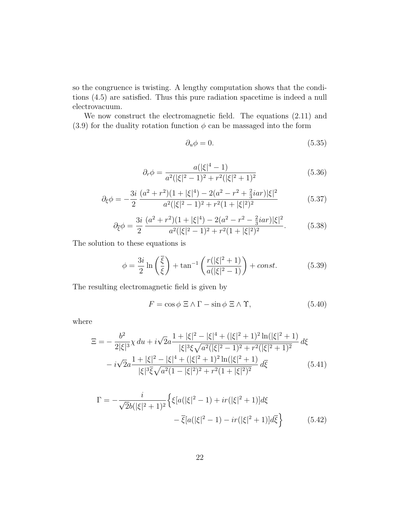so the congruence is twisting. A lengthy computation shows that the conditions (4.5) are satisfied. Thus this pure radiation spacetime is indeed a null electrovacuum.

We now construct the electromagnetic field. The equations (2.11) and (3.9) for the duality rotation function  $\phi$  can be massaged into the form

$$
\partial_u \phi = 0. \tag{5.35}
$$

$$
\partial_r \phi = \frac{a(|\xi|^4 - 1)}{a^2(|\xi|^2 - 1)^2 + r^2(|\xi|^2 + 1)^2}
$$
\n(5.36)

$$
\partial_{\xi}\phi = -\frac{3i}{2} \frac{(a^2+r^2)(1+|\xi|^4) - 2(a^2-r^2+\frac{2}{3}iar)|\xi|^2}{a^2(|\xi|^2-1)^2+r^2(1+|\xi|^2)^2}
$$
(5.37)

$$
\partial_{\xi}\phi = \frac{3i}{2} \frac{(a^2 + r^2)(1 + |\xi|^4) - 2(a^2 - r^2 - \frac{2}{3}iar)|\xi|^2}{a^2(|\xi|^2 - 1)^2 + r^2(1 + |\xi|^2)^2}.
$$
(5.38)

The solution to these equations is

$$
\phi = \frac{3i}{2} \ln \left( \frac{\overline{\xi}}{\xi} \right) + \tan^{-1} \left( \frac{r(|\xi|^2 + 1)}{a(|\xi|^2 - 1)} \right) + const. \tag{5.39}
$$

The resulting electromagnetic field is given by

$$
F = \cos \phi \ \Xi \wedge \Gamma - \sin \phi \ \Xi \wedge \Upsilon, \tag{5.40}
$$

where

$$
\Xi = -\frac{b^2}{2|\xi|^3} \chi \, du + i\sqrt{2}a \frac{1 + |\xi|^2 - |\xi|^4 + (|\xi|^2 + 1)^2 \ln(|\xi|^2 + 1)}{|\xi|^3 \xi \sqrt{a^2(|\xi|^2 - 1)^2 + r^2(|\xi|^2 + 1)^2}} \, d\xi \n- i\sqrt{2}a \frac{1 + |\xi|^2 - |\xi|^4 + (|\xi|^2 + 1)^2 \ln(|\xi|^2 + 1)}{|\xi|^3 \xi \sqrt{a^2 (1 - |\xi|^2)^2 + r^2 (1 + |\xi|^2)^2}} \, d\xi
$$
\n(5.41)

$$
\Gamma = -\frac{i}{\sqrt{2}b(|\xi|^2 + 1)^2} \left\{ \xi[a(|\xi|^2 - 1) + ir(|\xi|^2 + 1)]d\xi -\overline{\xi}[a(|\xi|^2 - 1) - ir(|\xi|^2 + 1)]d\overline{\xi} \right\}
$$
(5.42)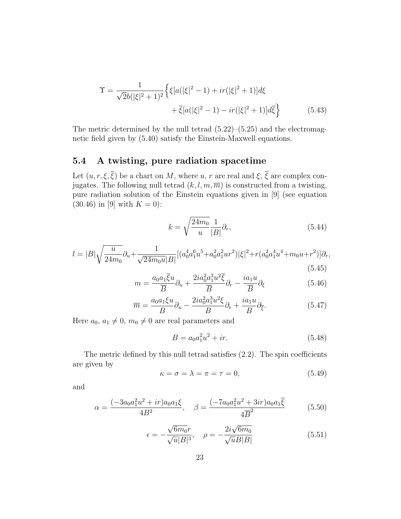$$
\Upsilon = \frac{1}{\sqrt{2b(|\xi|^2 + 1)^2}} \Big\{ \xi[a(|\xi|^2 - 1) + ir(|\xi|^2 + 1)]d\xi \n+ \overline{\xi}[a(|\xi|^2 - 1) - ir(|\xi|^2 + 1)]d\xi \Big\} \tag{5.43}
$$

The metric determined by the null tetrad  $(5.22)$ – $(5.25)$  and the electromagnetic field given by (5.40) satisfy the Einstein-Maxwell equations.

#### 5.4 A twisting, pure radiation spacetime

Let  $(u, r, \xi, \overline{\xi})$  be a chart on M, where u, r are real and  $\xi, \overline{\xi}$  are complex conjugates. The following null tetrad  $(k, l, m, \overline{m})$  is constructed from a twisting, pure radiation solution of the Einstein equations given in [9] (see equation  $(30.46)$  in [9] with  $K = 0$ ):

$$
k = \sqrt{\frac{24m_0}{u}} \frac{1}{|B|} \partial_r,\tag{5.44}
$$

$$
l = |B| \sqrt{\frac{u}{24m_0}} \partial_u + \frac{1}{\sqrt{24m_0 u}|B|} [(a_0^4 a_1^6 u^5 + a_0^2 a_1^2 u r^2) |\xi|^2 + r (a_0^2 a_1^4 u^4 + m_0 u + r^2)] \partial_r,
$$
\n(5.45)

$$
m = \frac{a_0 a_1 \overline{\xi} u}{\overline{B}} \partial_u + \frac{2i a_0^2 a_1^3 u^2 \overline{\xi}}{\overline{B}} \partial_r - \frac{i a_1 u}{\overline{B}} \partial_\xi \tag{5.46}
$$

$$
\overline{m} = \frac{a_0 a_1 \xi u}{B} \partial_u - \frac{2i a_0^2 a_1^3 u^2 \xi}{B} \partial_r + \frac{i a_1 u}{B} \partial_{\overline{\xi}}.
$$
(5.47)

Here  $a_0, a_1 \neq 0, m_0 \neq 0$  are real parameters and

$$
B = a_0 a_1^2 u^2 + ir.
$$
 (5.48)

The metric defined by this null tetrad satisfies (2.2). The spin coefficients are given by

$$
\kappa = \sigma = \lambda = \pi = \tau = 0,\tag{5.49}
$$

and

$$
\alpha = \frac{(-3a_0a_1^2u^2 + ir)a_0a_1\xi}{4B^2}, \quad \beta = \frac{(-7a_0a_1^2u^2 + 3ir)a_0a_1\overline{\xi}}{4\overline{B}^2}
$$
(5.50)

$$
\epsilon = -\frac{\sqrt{6m_0}r}{\sqrt{u}|B|^3}, \quad \rho = -\frac{2i\sqrt{6m_0}}{\sqrt{u}|B|}
$$
\n(5.51)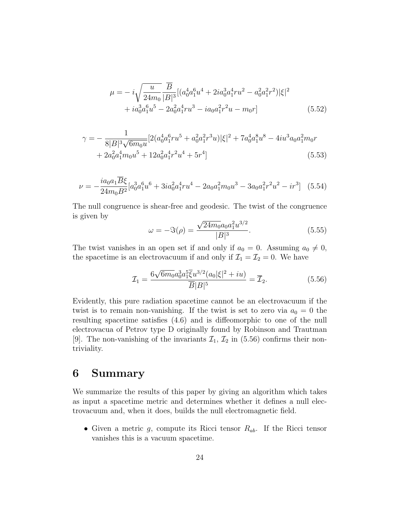$$
\mu = -i\sqrt{\frac{u}{24m_0}} \frac{\overline{B}}{|B|^3} [(a_0^4 a_1^6 u^4 + 2i a_0^3 a_1^4 r u^2 - a_0^2 a_1^2 r^2)|\xi|^2
$$
  
+  $i a_0^3 a_1^6 u^5 - 2a_0^2 a_1^4 r u^3 - i a_0 a_1^2 r^2 u - m_0 r]$  (5.52)

$$
\gamma = -\frac{1}{8|B|^3 \sqrt{6m_0 u}} [2(a_0^4 a_1^6 r u^5 + a_0^2 a_1^2 r^3 u) |\xi|^2 + 7a_0^4 a_1^8 u^8 - 4i u^3 a_0 a_1^2 m_0 r + 2a_0^2 a_1^4 m_0 u^5 + 12a_0^2 a_1^4 r^2 u^4 + 5r^4]
$$
\n(5.53)

$$
\nu = -\frac{i a_0 a_1 \overline{B}\xi}{24 m_0 B^2} [a_0^3 a_1^6 u^6 + 3i a_0^2 a_1^4 r u^4 - 2a_0 a_1^2 m_0 u^3 - 3a_0 a_1^2 r^2 u^2 - i r^3]
$$
(5.54)

The null congruence is shear-free and geodesic. The twist of the congruence is given by √

$$
\omega = -\Im(\rho) = \frac{\sqrt{24m_0}a_0 a_1^2 u^{3/2}}{|B|^3}.
$$
\n(5.55)

The twist vanishes in an open set if and only if  $a_0 = 0$ . Assuming  $a_0 \neq 0$ , the spacetime is an electrovacuum if and only if  $\mathcal{I}_1 = \mathcal{I}_2 = 0$ . We have

$$
\mathcal{I}_1 = \frac{6\sqrt{6m_0}a_0^3a_1^5\overline{\xi}u^{3/2}(a_0|\xi|^2 + iu)}{\overline{B}|B|^5} = \overline{\mathcal{I}}_2.
$$
 (5.56)

Evidently, this pure radiation spacetime cannot be an electrovacuum if the twist is to remain non-vanishing. If the twist is set to zero via  $a_0 = 0$  the resulting spacetime satisfies (4.6) and is diffeomorphic to one of the null electrovacua of Petrov type D originally found by Robinson and Trautman [9]. The non-vanishing of the invariants  $\mathcal{I}_1$ ,  $\mathcal{I}_2$  in (5.56) confirms their nontriviality.

### 6 Summary

We summarize the results of this paper by giving an algorithm which takes as input a spacetime metric and determines whether it defines a null electrovacuum and, when it does, builds the null electromagnetic field.

• Given a metric  $g$ , compute its Ricci tensor  $R_{ab}$ . If the Ricci tensor vanishes this is a vacuum spacetime.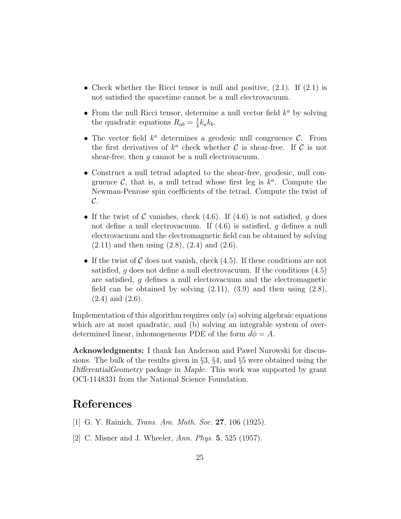- Check whether the Ricci tensor is null and positive,  $(2.1)$ . If  $(2.1)$  is not satisfied the spacetime cannot be a null electrovacuum.
- From the null Ricci tensor, determine a null vector field  $k^a$  by solving the quadratic equations  $R_{ab} = \frac{1}{4}$  $\frac{1}{4}k_{a}k_{b}$ .
- The vector field  $k^a$  determines a geodesic null congruence  $\mathcal{C}$ . From the first derivatives of  $k^a$  check whether C is shear-free. If C is not shear-free, then  $q$  cannot be a null electrovacuum.
- Construct a null tetrad adapted to the shear-free, geodesic, null congruence  $\mathcal{C}$ , that is, a null tetrad whose first leg is  $k^a$ . Compute the Newman-Penrose spin coefficients of the tetrad. Compute the twist of  $\mathcal{C}.$
- If the twist of C vanishes, check  $(4.6)$ . If  $(4.6)$  is not satisfied, g does not define a null electrovacuum. If (4.6) is satisfied, g defines a null electrovacuum and the electromagnetic field can be obtained by solving  $(2.11)$  and then using  $(2.8)$ ,  $(2.4)$  and  $(2.6)$ .
- If the twist of C does not vanish, check  $(4.5)$ . If these conditions are not satisfied, g does not define a null electrovacuum. If the conditions  $(4.5)$ are satisfied, g defines a null electrovacuum and the electromagnetic field can be obtained by solving  $(2.11)$ ,  $(3.9)$  and then using  $(2.8)$ , (2.4) and (2.6).

Implementation of this algorithm requires only (a) solving algebraic equations which are at most quadratic, and (b) solving an integrable system of overdetermined linear, inhomogeneous PDE of the form  $d\phi = A$ .

Acknowledgments: I thank Ian Anderson and Pawel Nurowski for discussions. The bulk of the results given in §3, §4, and §5 were obtained using the DifferentialGeometry package in Maple. This work was supported by grant OCI-1148331 from the National Science Foundation.

## References

- [1] G. Y. Rainich, *Trans. Am. Math. Soc.* **27**, 106 (1925).
- [2] C. Misner and J. Wheeler, Ann. Phys. 5, 525 (1957).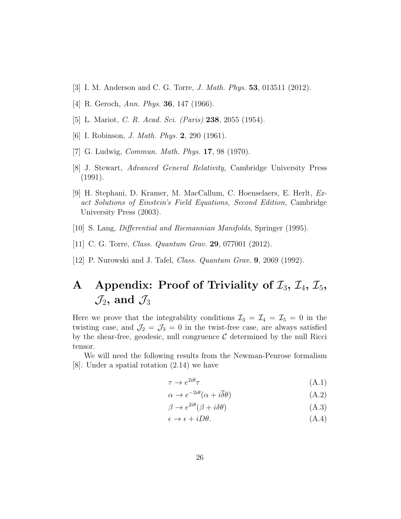- [3] I. M. Anderson and C. G. Torre, J. Math. Phys. 53, 013511 (2012).
- [4] R. Geroch, Ann. Phys. 36, 147 (1966).
- [5] L. Mariot, C. R. Acad. Sci. (Paris) 238, 2055 (1954).
- [6] I. Robinson, *J. Math. Phys.* **2**, 290 (1961).
- [7] G. Ludwig, Commun. Math. Phys. 17, 98 (1970).
- [8] J. Stewart, Advanced General Relativity, Cambridge University Press (1991).
- [9] H. Stephani, D. Kramer, M. MacCallum, C. Hoenselaers, E. Herlt, Exact Solutions of Einstein's Field Equations, Second Edition, Cambridge University Press (2003).
- [10] S. Lang, Differential and Riemannian Manifolds, Springer (1995).
- [11] C. G. Torre, *Class. Quantum Grav.* **29**, 077001 (2012).
- [12] P. Nurowski and J. Tafel, Class. Quantum Grav. 9, 2069 (1992).

## A Appendix: Proof of Triviality of  $\mathcal{I}_3$ ,  $\mathcal{I}_4$ ,  $\mathcal{I}_5$ ,  $\mathcal{J}_2$ , and  $\mathcal{J}_3$

Here we prove that the integrability conditions  $\mathcal{I}_3 = \mathcal{I}_4 = \mathcal{I}_5 = 0$  in the twisting case, and  $\mathcal{J}_2 = \mathcal{J}_3 = 0$  in the twist-free case, are always satisfied by the shear-free, geodesic, null congruence  $\mathcal C$  determined by the null Ricci tensor.

We will need the following results from the Newman-Penrose formalism [8]. Under a spatial rotation (2.14) we have

$$
\tau \to e^{2i\theta} \tau \tag{A.1}
$$

$$
\alpha \to e^{-2i\theta}(\alpha + i\overline{\delta}\theta) \tag{A.2}
$$

$$
\beta \to e^{2i\theta} (\beta + i\delta\theta) \tag{A.3}
$$

$$
\epsilon \to \epsilon + iD\theta. \tag{A.4}
$$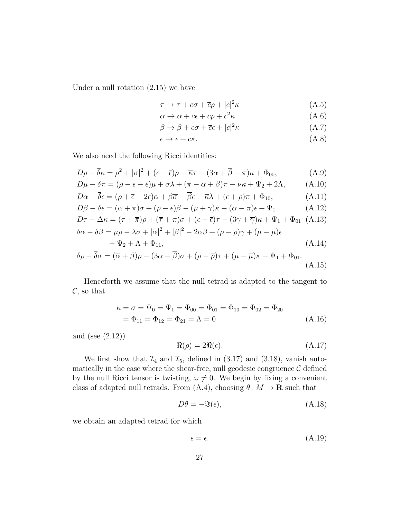Under a null rotation (2.15) we have

$$
\tau \to \tau + c\sigma + \overline{c}\rho + |c|^2 \kappa \tag{A.5}
$$

$$
\alpha \to \alpha + c\epsilon + c\rho + c^2 \kappa \tag{A.6}
$$

$$
\beta \to \beta + c\sigma + \overline{c}\epsilon + |c|^2 \kappa \tag{A.7}
$$

$$
\epsilon \to \epsilon + c\kappa. \tag{A.8}
$$

We also need the following Ricci identities:

$$
D\rho - \overline{\delta}\kappa = \rho^2 + |\sigma|^2 + (\epsilon + \overline{\epsilon})\rho - \overline{\kappa}\tau - (3\alpha + \overline{\beta} - \pi)\kappa + \Phi_{00},
$$
 (A.9)

$$
D\mu - \delta \pi = (\overline{\rho} - \epsilon - \overline{\epsilon})\mu + \sigma \lambda + (\overline{\pi} - \overline{\alpha} + \beta)\pi - \nu \kappa + \Psi_2 + 2\Lambda, \tag{A.10}
$$

$$
D\alpha - \overline{\delta}\epsilon = (\rho + \overline{\epsilon} - 2\epsilon)\alpha + \beta\overline{\sigma} - \overline{\beta}\epsilon - \overline{\kappa}\lambda + (\epsilon + \rho)\pi + \Phi_{10},
$$
 (A.11)

$$
D\beta - \delta\epsilon = (\alpha + \pi)\sigma + (\overline{\rho} - \overline{\epsilon})\beta - (\mu + \gamma)\kappa - (\overline{\alpha} - \overline{\pi})\epsilon + \Psi_1
$$
 (A.12)

$$
D\tau - \Delta\kappa = (\tau + \overline{\pi})\rho + (\overline{\tau} + \pi)\sigma + (\epsilon - \overline{\epsilon})\tau - (3\gamma + \overline{\gamma})\kappa + \Psi_1 + \Phi_{01} \quad (A.13)
$$
  

$$
\delta\alpha - \overline{\delta}\beta = \mu\rho - \lambda\sigma + |\alpha|^2 + |\beta|^2 - 2\alpha\beta + (\rho - \overline{\rho})\gamma + (\mu - \overline{\mu})\epsilon
$$

$$
-\Psi_2 + \Lambda + \Phi_{11},\tag{A.14}
$$

$$
\delta \rho - \overline{\delta} \sigma = (\overline{\alpha} + \beta)\rho - (3\alpha - \overline{\beta})\sigma + (\rho - \overline{\rho})\tau + (\mu - \overline{\mu})\kappa - \Psi_1 + \Phi_{01}.
$$
\n(A.15)

Henceforth we assume that the null tetrad is adapted to the tangent to  $\mathcal{C}$ , so that

$$
\kappa = \sigma = \Psi_0 = \Psi_1 = \Phi_{00} = \Phi_{01} = \Phi_{10} = \Phi_{02} = \Phi_{20}
$$
  
=  $\Phi_{11} = \Phi_{12} = \Phi_{21} = \Lambda = 0$  (A.16)

and (see (2.12))

$$
\Re(\rho) = 2\Re(\epsilon). \tag{A.17}
$$

We first show that  $\mathcal{I}_4$  and  $\mathcal{I}_5$ , defined in (3.17) and (3.18), vanish automatically in the case where the shear-free, null geodesic congruence  $\mathcal C$  defined by the null Ricci tensor is twisting,  $\omega \neq 0$ . We begin by fixing a convenient class of adapted null tetrads. From (A.4), choosing  $\theta: M \to \mathbf{R}$  such that

$$
D\theta = -\Im(\epsilon),\tag{A.18}
$$

we obtain an adapted tetrad for which

$$
\epsilon = \bar{\epsilon}.\tag{A.19}
$$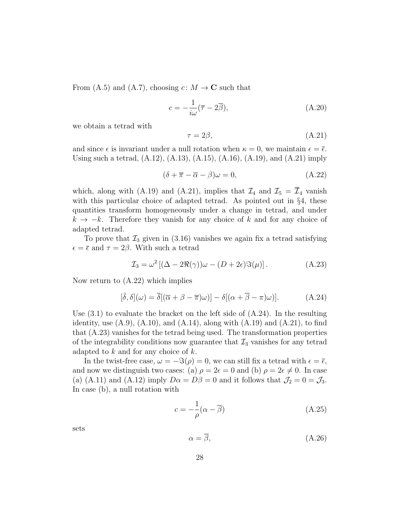From (A.5) and (A.7), choosing  $c: M \to \mathbb{C}$  such that

$$
c = -\frac{1}{i\omega}(\overline{\tau} - 2\overline{\beta}),\tag{A.20}
$$

we obtain a tetrad with

$$
\tau = 2\beta,\tag{A.21}
$$

and since  $\epsilon$  is invariant under a null rotation when  $\kappa = 0$ , we maintain  $\epsilon = \bar{\epsilon}$ . Using such a tetrad, (A.12), (A.13), (A.15), (A.16), (A.19), and (A.21) imply

$$
(\delta + \overline{\pi} - \overline{\alpha} - \beta)\omega = 0, \tag{A.22}
$$

which, along with (A.19) and (A.21), implies that  $\mathcal{I}_4$  and  $\mathcal{I}_5 = \overline{\mathcal{I}}_4$  vanish with this particular choice of adapted tetrad. As pointed out in  $\S 4$ , these quantities transform homogeneously under a change in tetrad, and under  $k \to -k$ . Therefore they vanish for any choice of k and for any choice of adapted tetrad.

To prove that  $\mathcal{I}_3$  given in (3.16) vanishes we again fix a tetrad satisfying  $\epsilon = \bar{\epsilon}$  and  $\tau = 2\beta$ . With such a tetrad

$$
\mathcal{I}_3 = \omega^2 \left[ (\Delta - 2\Re(\gamma))\omega - (D + 2\epsilon)\Im(\mu) \right]. \tag{A.23}
$$

Now return to (A.22) which implies

$$
[\bar{\delta}, \delta](\omega) = \bar{\delta}[(\bar{\alpha} + \beta - \bar{\pi})\omega)] - \delta[(\alpha + \bar{\beta} - \pi)\omega)].
$$
 (A.24)

Use  $(3.1)$  to evaluate the bracket on the left side of  $(A.24)$ . In the resulting identity, use  $(A.9)$ ,  $(A.10)$ , and  $(A.14)$ , along with  $(A.19)$  and  $(A.21)$ , to find that (A.23) vanishes for the tetrad being used. The transformation properties of the integrability conditions now guarantee that  $\mathcal{I}_3$  vanishes for any tetrad adapted to  $k$  and for any choice of  $k$ .

In the twist-free case,  $\omega = -\Im(\rho) = 0$ , we can still fix a tetrad with  $\epsilon = \overline{\epsilon}$ , and now we distinguish two cases: (a)  $\rho = 2\epsilon = 0$  and (b)  $\rho = 2\epsilon \neq 0$ . In case (a) (A.11) and (A.12) imply  $D\alpha = D\beta = 0$  and it follows that  $\mathcal{J}_2 = 0 = \mathcal{J}_3$ . In case (b), a null rotation with

$$
c = -\frac{1}{\rho}(\alpha - \overline{\beta})\tag{A.25}
$$

sets

$$
\alpha = \overline{\beta},\tag{A.26}
$$